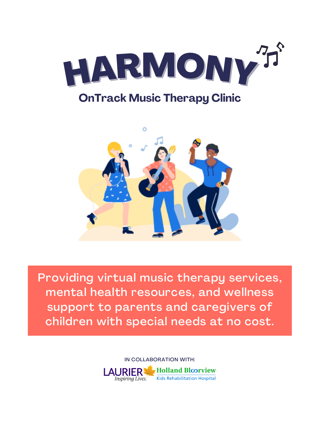Providing virtual music therapy services, mental health resources, and wellness support to parents and caregivers of children with special needs at no cost.









Inspiring Lives.

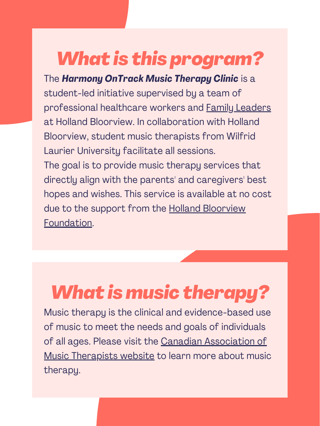# *What is music therapy?*

The *Harmony OnTrack Music Therapy Clinic* is a student-led initiative supervised by a team of professional healthcare workers and Family [Leaders](https://hollandbloorview.ca/get-involved-give/family-leadership-program) at Holland Bloorview. In collaboration with Holland Bloorview, student music therapists from Wilfrid Laurier University facilitate all sessions. The goal is to provide music therapy services that directly align with the parents' and caregivers' best hopes and wishes. This service is available at no cost due to the support from the Holland Bloorview

Music therapy is the clinical and evidence-based use of music to meet the needs and goals of individuals of all ages. Please visit the Canadian [Association](https://www.musictherapy.ca/about-camt-music-therapy/about-music-therapy/) of Music Therapists website to learn more about music therapy.

## *What is this program?*

#### [Foundation.](https://hollandbloorview.ca/about-us/foundation)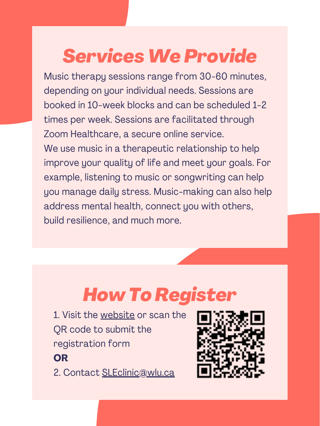### *How To Register*

- 1. Visit the [website](https://wlu.ca1.qualtrics.com/jfe/form/SV_9ThE6uCFTgmkFKJ) or scan the QR code to submit the registration form **OR**
- 2. Contact [SLEclinic@wlu.ca](mailto:SLEclinic@wlu.ca)



## *ServicesWe Provide*

Music therapy sessions range from 30-60 minutes, depending on your individual needs. Sessions are booked in 10-week blocks and can be scheduled 1-2 times per week. Sessions are facilitated through Zoom Healthcare, a secure online service. We use music in a therapeutic relationship to help improve your quality of life and meet your goals. For example, listening to music or songwriting can help you manage daily stress. Music-making can also help address mental health, connect you with others, build resilience, and much more.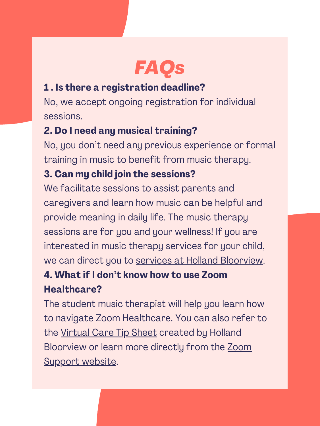

#### **1 . Is there a registration deadline?**

No, we accept ongoing registration for individual sessions.

### **2. Do I need any musical training?**

We facilitate sessions to assist parents and caregivers and learn how music can be helpful and provide meaning in daily life. The music therapy sessions are for you and your wellness! If you are interested in music therapy services for your child, we can direct you to services at Holland [Bloorview](https://hollandbloorview.ca/services/programs-services/music-and-arts). **4. What if I don't know how to use Zoom Healthcare?** The student music therapist will help you learn how to navigate Zoom Healthcare. You can also refer to the [Virtual](https://hollandbloorview.ca/sites/default/files/2020-07/VirtualCare-UsingZoom-Tipsheet.pdf) Care Tip Sheet created by Holland [Bloorview](https://support.zoom.us/hc/en-us) or learn more directly from the Zoom Support website.

No, you don't need any previous experience or formal training in music to benefit from music therapy.

### **3. Can my child join the sessions?**